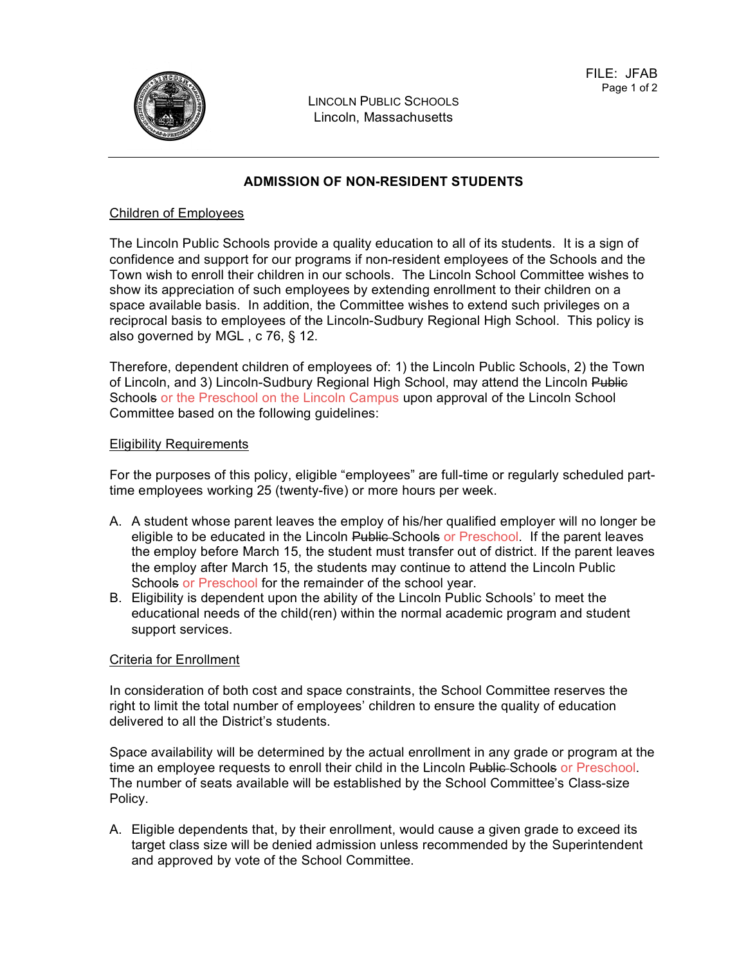

LINCOLN PUBLIC SCHOOLS Lincoln, Massachusetts

# **ADMISSION OF NON-RESIDENT STUDENTS**

#### Children of Employees

The Lincoln Public Schools provide a quality education to all of its students. It is a sign of confidence and support for our programs if non-resident employees of the Schools and the Town wish to enroll their children in our schools. The Lincoln School Committee wishes to show its appreciation of such employees by extending enrollment to their children on a space available basis. In addition, the Committee wishes to extend such privileges on a reciprocal basis to employees of the Lincoln-Sudbury Regional High School. This policy is also governed by MGL , c 76, § 12.

Therefore, dependent children of employees of: 1) the Lincoln Public Schools, 2) the Town of Lincoln, and 3) Lincoln-Sudbury Regional High School, may attend the Lincoln Public Schools or the Preschool on the Lincoln Campus upon approval of the Lincoln School Committee based on the following guidelines:

#### Eligibility Requirements

For the purposes of this policy, eligible "employees" are full-time or regularly scheduled parttime employees working 25 (twenty-five) or more hours per week.

- A. A student whose parent leaves the employ of his/her qualified employer will no longer be eligible to be educated in the Lincoln Public Schools or Preschool. If the parent leaves the employ before March 15, the student must transfer out of district. If the parent leaves the employ after March 15, the students may continue to attend the Lincoln Public Schools or Preschool for the remainder of the school year.
- B. Eligibility is dependent upon the ability of the Lincoln Public Schools' to meet the educational needs of the child(ren) within the normal academic program and student support services.

#### Criteria for Enrollment

In consideration of both cost and space constraints, the School Committee reserves the right to limit the total number of employees' children to ensure the quality of education delivered to all the District's students.

Space availability will be determined by the actual enrollment in any grade or program at the time an employee requests to enroll their child in the Lincoln Public Schools or Preschool. The number of seats available will be established by the School Committee's Class-size Policy.

A. Eligible dependents that, by their enrollment, would cause a given grade to exceed its target class size will be denied admission unless recommended by the Superintendent and approved by vote of the School Committee.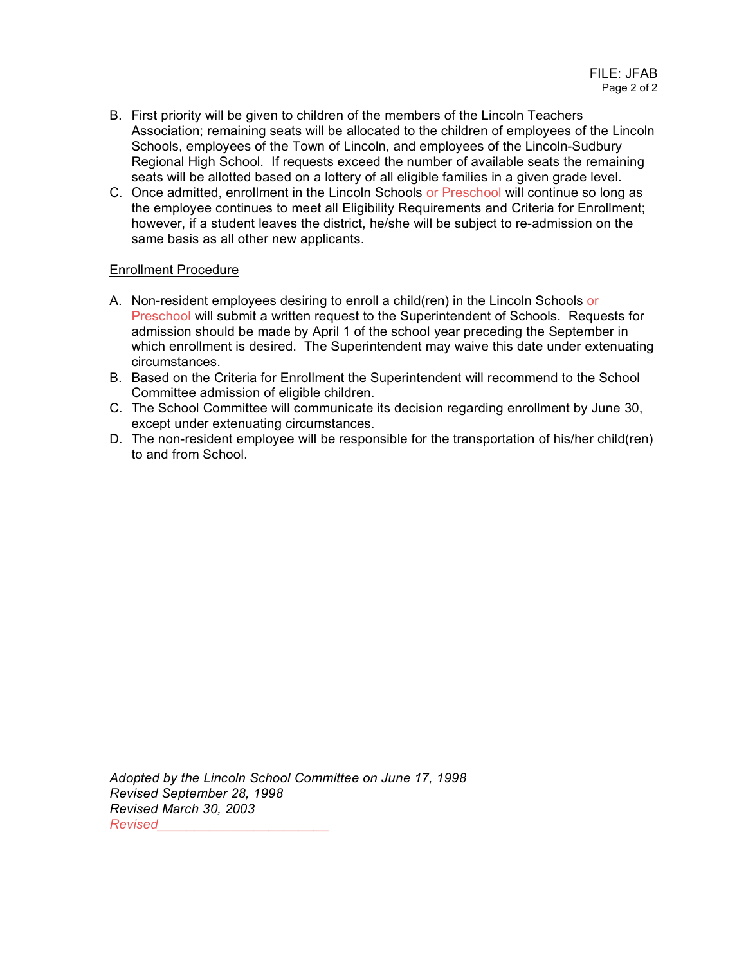- B. First priority will be given to children of the members of the Lincoln Teachers Association; remaining seats will be allocated to the children of employees of the Lincoln Schools, employees of the Town of Lincoln, and employees of the Lincoln-Sudbury Regional High School. If requests exceed the number of available seats the remaining seats will be allotted based on a lottery of all eligible families in a given grade level.
- C. Once admitted, enrollment in the Lincoln Schools or Preschool will continue so long as the employee continues to meet all Eligibility Requirements and Criteria for Enrollment; however, if a student leaves the district, he/she will be subject to re-admission on the same basis as all other new applicants.

## Enrollment Procedure

- A. Non-resident employees desiring to enroll a child(ren) in the Lincoln Schools or Preschool will submit a written request to the Superintendent of Schools. Requests for admission should be made by April 1 of the school year preceding the September in which enrollment is desired. The Superintendent may waive this date under extenuating circumstances.
- B. Based on the Criteria for Enrollment the Superintendent will recommend to the School Committee admission of eligible children.
- C. The School Committee will communicate its decision regarding enrollment by June 30, except under extenuating circumstances.
- D. The non-resident employee will be responsible for the transportation of his/her child(ren) to and from School.

*Adopted by the Lincoln School Committee on June 17, 1998 Revised September 28, 1998 Revised March 30, 2003 Revised\_\_\_\_\_\_\_\_\_\_\_\_\_\_\_\_\_\_\_\_\_\_\_*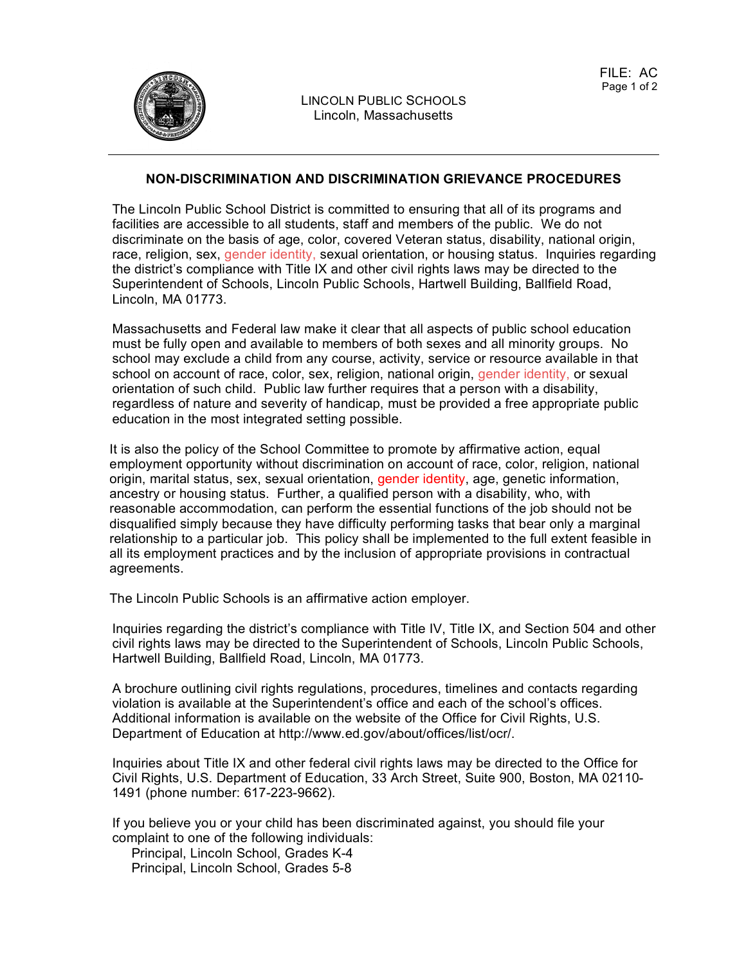

## **NON-DISCRIMINATION AND DISCRIMINATION GRIEVANCE PROCEDURES**

The Lincoln Public School District is committed to ensuring that all of its programs and facilities are accessible to all students, staff and members of the public. We do not discriminate on the basis of age, color, covered Veteran status, disability, national origin, race, religion, sex, gender identity, sexual orientation, or housing status. Inquiries regarding the district's compliance with Title IX and other civil rights laws may be directed to the Superintendent of Schools, Lincoln Public Schools, Hartwell Building, Ballfield Road, Lincoln, MA 01773.

Massachusetts and Federal law make it clear that all aspects of public school education must be fully open and available to members of both sexes and all minority groups. No school may exclude a child from any course, activity, service or resource available in that school on account of race, color, sex, religion, national origin, gender identity, or sexual orientation of such child. Public law further requires that a person with a disability, regardless of nature and severity of handicap, must be provided a free appropriate public education in the most integrated setting possible.

It is also the policy of the School Committee to promote by affirmative action, equal employment opportunity without discrimination on account of race, color, religion, national origin, marital status, sex, sexual orientation, gender identity, age, genetic information, ancestry or housing status. Further, a qualified person with a disability, who, with reasonable accommodation, can perform the essential functions of the job should not be disqualified simply because they have difficulty performing tasks that bear only a marginal relationship to a particular job. This policy shall be implemented to the full extent feasible in all its employment practices and by the inclusion of appropriate provisions in contractual agreements.

The Lincoln Public Schools is an affirmative action employer.

Inquiries regarding the district's compliance with Title IV, Title IX, and Section 504 and other civil rights laws may be directed to the Superintendent of Schools, Lincoln Public Schools, Hartwell Building, Ballfield Road, Lincoln, MA 01773.

A brochure outlining civil rights regulations, procedures, timelines and contacts regarding violation is available at the Superintendent's office and each of the school's offices. Additional information is available on the website of the Office for Civil Rights, U.S. Department of Education at http://www.ed.gov/about/offices/list/ocr/.

Inquiries about Title IX and other federal civil rights laws may be directed to the Office for Civil Rights, U.S. Department of Education, 33 Arch Street, Suite 900, Boston, MA 02110- 1491 (phone number: 617-223-9662).

If you believe you or your child has been discriminated against, you should file your complaint to one of the following individuals:

Principal, Lincoln School, Grades K-4 Principal, Lincoln School, Grades 5-8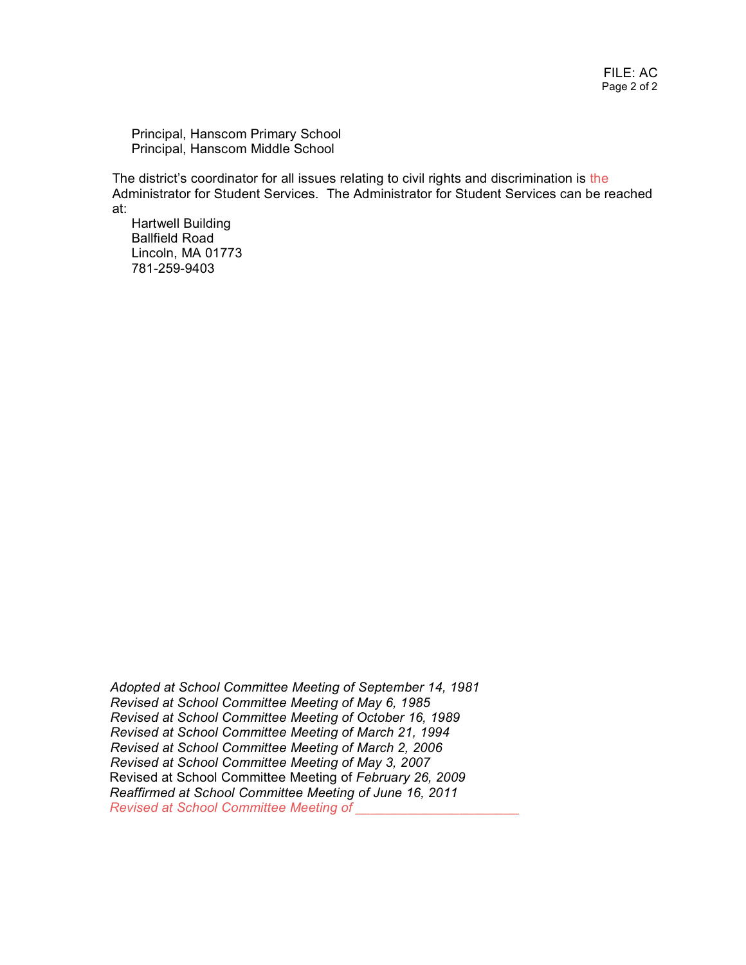Principal, Hanscom Primary School Principal, Hanscom Middle School

The district's coordinator for all issues relating to civil rights and discrimination is the Administrator for Student Services. The Administrator for Student Services can be reached at:

Hartwell Building Ballfield Road Lincoln, MA 01773 781-259-9403

*Adopted at School Committee Meeting of September 14, 1981 Revised at School Committee Meeting of May 6, 1985 Revised at School Committee Meeting of October 16, 1989 Revised at School Committee Meeting of March 21, 1994 Revised at School Committee Meeting of March 2, 2006 Revised at School Committee Meeting of May 3, 2007* Revised at School Committee Meeting of *February 26, 2009 Reaffirmed at School Committee Meeting of June 16, 2011 Revised at School Committee Meeting of \_\_\_\_\_\_\_\_\_\_\_\_\_\_\_\_\_\_\_\_\_\_*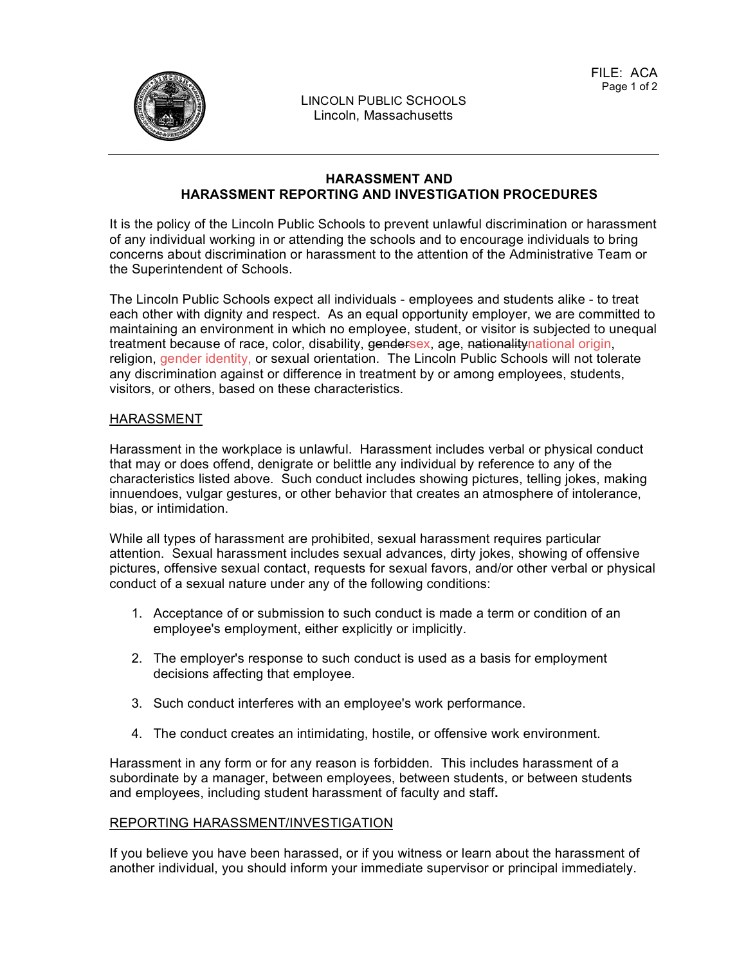

## **HARASSMENT AND HARASSMENT REPORTING AND INVESTIGATION PROCEDURES**

It is the policy of the Lincoln Public Schools to prevent unlawful discrimination or harassment of any individual working in or attending the schools and to encourage individuals to bring concerns about discrimination or harassment to the attention of the Administrative Team or the Superintendent of Schools.

The Lincoln Public Schools expect all individuals - employees and students alike - to treat each other with dignity and respect. As an equal opportunity employer, we are committed to maintaining an environment in which no employee, student, or visitor is subjected to unequal treatment because of race, color, disability, gendersex, age, nationalitynational origin, religion, gender identity, or sexual orientation. The Lincoln Public Schools will not tolerate any discrimination against or difference in treatment by or among employees, students, visitors, or others, based on these characteristics.

## HARASSMENT

Harassment in the workplace is unlawful. Harassment includes verbal or physical conduct that may or does offend, denigrate or belittle any individual by reference to any of the characteristics listed above. Such conduct includes showing pictures, telling jokes, making innuendoes, vulgar gestures, or other behavior that creates an atmosphere of intolerance, bias, or intimidation.

While all types of harassment are prohibited, sexual harassment requires particular attention. Sexual harassment includes sexual advances, dirty jokes, showing of offensive pictures, offensive sexual contact, requests for sexual favors, and/or other verbal or physical conduct of a sexual nature under any of the following conditions:

- 1. Acceptance of or submission to such conduct is made a term or condition of an employee's employment, either explicitly or implicitly.
- 2. The employer's response to such conduct is used as a basis for employment decisions affecting that employee.
- 3. Such conduct interferes with an employee's work performance.
- 4. The conduct creates an intimidating, hostile, or offensive work environment.

Harassment in any form or for any reason is forbidden. This includes harassment of a subordinate by a manager, between employees, between students, or between students and employees, including student harassment of faculty and staff**.**

#### REPORTING HARASSMENT/INVESTIGATION

If you believe you have been harassed, or if you witness or learn about the harassment of another individual, you should inform your immediate supervisor or principal immediately.